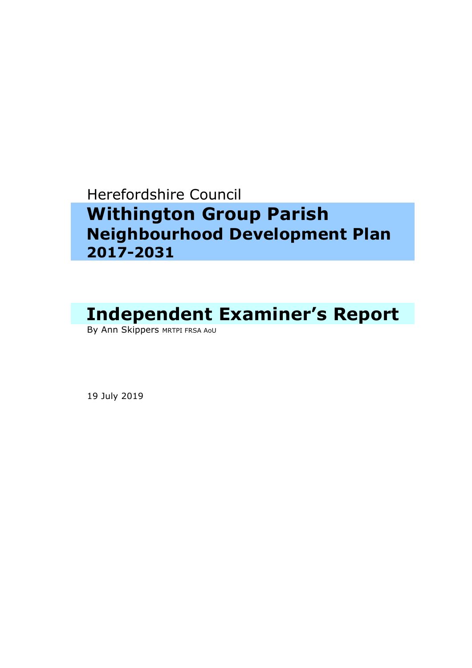## Herefordshire Council

## **Withington Group Parish Neighbourhood Development Plan 2017-2031**

# **Independent Examiner's Report**

By Ann Skippers MRTPI FRSA AOU

19 July 2019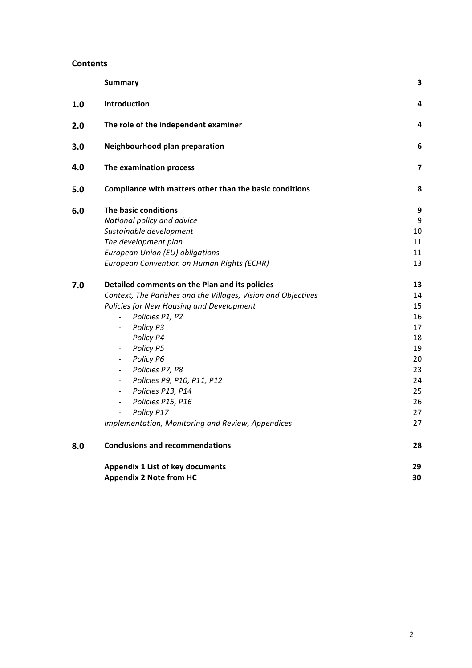#### **Contents**

|     | <b>Summary</b>                                                     | 3        |
|-----|--------------------------------------------------------------------|----------|
| 1.0 | Introduction                                                       | 4        |
| 2.0 | The role of the independent examiner                               | 4        |
| 3.0 | Neighbourhood plan preparation                                     | 6        |
| 4.0 | The examination process                                            | 7        |
| 5.0 | Compliance with matters other than the basic conditions            | 8        |
| 6.0 | The basic conditions                                               | 9        |
|     | National policy and advice                                         | 9        |
|     | Sustainable development                                            | 10       |
|     | The development plan                                               | 11       |
|     | European Union (EU) obligations                                    | 11       |
|     | European Convention on Human Rights (ECHR)                         | 13       |
| 7.0 | Detailed comments on the Plan and its policies                     | 13       |
|     | Context, The Parishes and the Villages, Vision and Objectives      | 14       |
|     | Policies for New Housing and Development                           | 15       |
|     | Policies P1, P2<br>$\overline{\phantom{a}}$                        | 16       |
|     | Policy P3                                                          | 17       |
|     | Policy P4<br>$\overline{\phantom{a}}$                              | 18       |
|     | Policy P5<br>$\overline{\phantom{a}}$                              | 19       |
|     | Policy P6<br>$\overline{\phantom{a}}$                              | 20       |
|     | Policies P7, P8<br>$\overline{\phantom{a}}$                        | 23       |
|     | Policies P9, P10, P11, P12<br>$\overline{\phantom{a}}$             | 24       |
|     | Policies P13, P14<br>$\overline{\phantom{a}}$<br>Policies P15, P16 | 25<br>26 |
|     | $\overline{\phantom{a}}$<br>Policy P17<br>$\overline{\phantom{a}}$ | 27       |
|     | Implementation, Monitoring and Review, Appendices                  | 27       |
| 8.0 | <b>Conclusions and recommendations</b>                             | 28       |
|     | <b>Appendix 1 List of key documents</b>                            | 29       |
|     | <b>Appendix 2 Note from HC</b>                                     | 30       |
|     |                                                                    |          |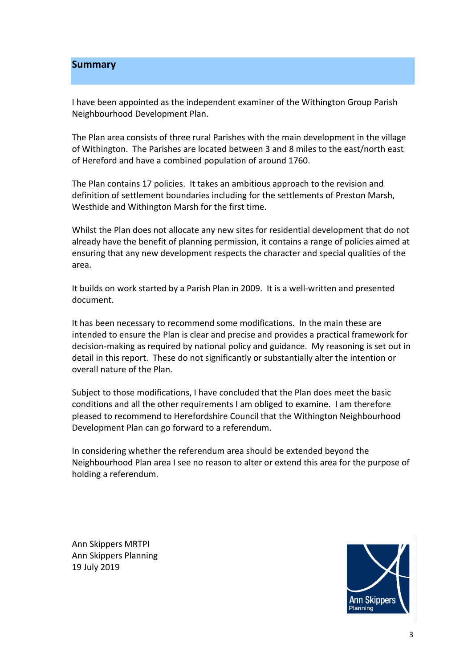#### **Summary**

I have been appointed as the independent examiner of the Withington Group Parish Neighbourhood Development Plan.

The Plan area consists of three rural Parishes with the main development in the village of Withington. The Parishes are located between 3 and 8 miles to the east/north east of Hereford and have a combined population of around 1760.

The Plan contains 17 policies. It takes an ambitious approach to the revision and definition of settlement boundaries including for the settlements of Preston Marsh, Westhide and Withington Marsh for the first time.

Whilst the Plan does not allocate any new sites for residential development that do not already have the benefit of planning permission, it contains a range of policies aimed at ensuring that any new development respects the character and special qualities of the area.

It builds on work started by a Parish Plan in 2009. It is a well-written and presented document.

It has been necessary to recommend some modifications. In the main these are intended to ensure the Plan is clear and precise and provides a practical framework for decision-making as required by national policy and guidance. My reasoning is set out in detail in this report. These do not significantly or substantially alter the intention or overall nature of the Plan.

Subject to those modifications, I have concluded that the Plan does meet the basic conditions and all the other requirements I am obliged to examine. I am therefore pleased to recommend to Herefordshire Council that the Withington Neighbourhood Development Plan can go forward to a referendum.

In considering whether the referendum area should be extended beyond the Neighbourhood Plan area I see no reason to alter or extend this area for the purpose of holding a referendum.

 Ann Skippers MRTPI Ann Skippers Planning 19 July 2019

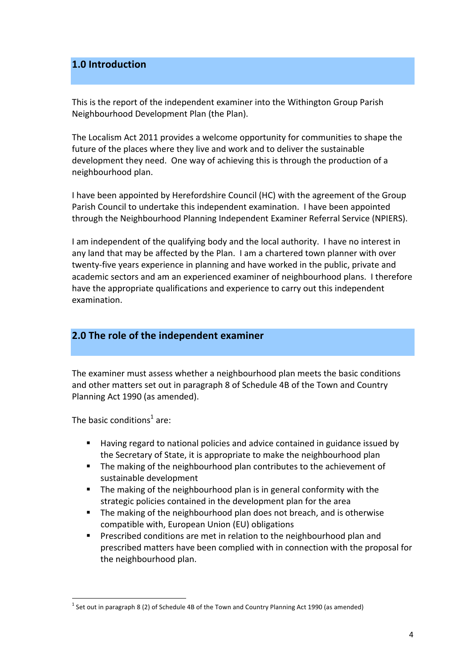## **1.0 Introduction**

This is the report of the independent examiner into the Withington Group Parish Neighbourhood Development Plan (the Plan).

The Localism Act 2011 provides a welcome opportunity for communities to shape the future of the places where they live and work and to deliver the sustainable development they need. One way of achieving this is through the production of a neighbourhood plan.

I have been appointed by Herefordshire Council (HC) with the agreement of the Group Parish Council to undertake this independent examination. I have been appointed through the Neighbourhood Planning Independent Examiner Referral Service (NPIERS).

I am independent of the qualifying body and the local authority. I have no interest in any land that may be affected by the Plan. I am a chartered town planner with over twenty-five years experience in planning and have worked in the public, private and academic sectors and am an experienced examiner of neighbourhood plans. I therefore have the appropriate qualifications and experience to carry out this independent examination.

## **2.0** The role of the independent examiner

The examiner must assess whether a neighbourhood plan meets the basic conditions and other matters set out in paragraph 8 of Schedule 4B of the Town and Country Planning Act 1990 (as amended).

The basic conditions<sup>1</sup> are:

- Having regard to national policies and advice contained in guidance issued by the Secretary of State, it is appropriate to make the neighbourhood plan
- The making of the neighbourhood plan contributes to the achievement of sustainable development
- The making of the neighbourhood plan is in general conformity with the strategic policies contained in the development plan for the area
- The making of the neighbourhood plan does not breach, and is otherwise compatible with, European Union (EU) obligations
- **•** Prescribed conditions are met in relation to the neighbourhood plan and prescribed matters have been complied with in connection with the proposal for the neighbourhood plan.

 $^1$  Set out in paragraph 8 (2) of Schedule 4B of the Town and Country Planning Act 1990 (as amended)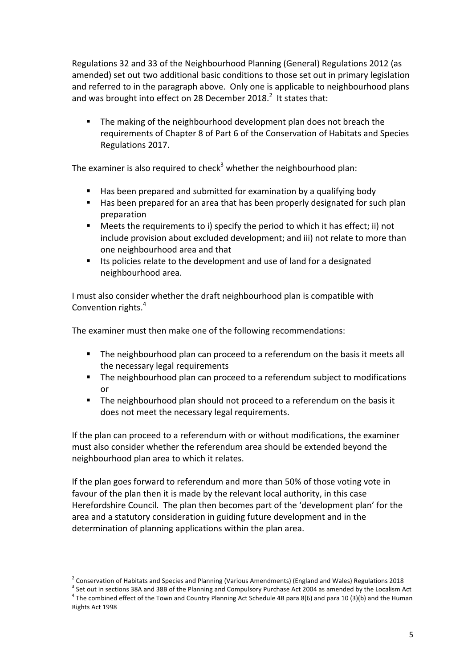Regulations 32 and 33 of the Neighbourhood Planning (General) Regulations 2012 (as amended) set out two additional basic conditions to those set out in primary legislation and referred to in the paragraph above. Only one is applicable to neighbourhood plans and was brought into effect on 28 December 2018.<sup>2</sup> It states that:

■ The making of the neighbourhood development plan does not breach the requirements of Chapter 8 of Part 6 of the Conservation of Habitats and Species Regulations 2017.

The examiner is also required to check<sup>3</sup> whether the neighbourhood plan:

- Has been prepared and submitted for examination by a qualifying body
- Has been prepared for an area that has been properly designated for such plan preparation
- Meets the requirements to i) specify the period to which it has effect; ii) not include provision about excluded development; and iii) not relate to more than one neighbourhood area and that
- Its policies relate to the development and use of land for a designated neighbourhood area.

I must also consider whether the draft neighbourhood plan is compatible with Convention rights.<sup>4</sup>

The examiner must then make one of the following recommendations:

- **The neighbourhood plan can proceed to a referendum on the basis it meets all**  the necessary legal requirements
- **•** The neighbourhood plan can proceed to a referendum subject to modifications or
- **The neighbourhood plan should not proceed to a referendum on the basis it** does not meet the necessary legal requirements.

If the plan can proceed to a referendum with or without modifications, the examiner must also consider whether the referendum area should be extended beyond the neighbourhood plan area to which it relates.

 If the plan goes forward to referendum and more than 50% of those voting vote in favour of the plan then it is made by the relevant local authority, in this case Herefordshire Council. The plan then becomes part of the 'development plan' for the area and a statutory consideration in guiding future development and in the determination of planning applications within the plan area.

<sup>&</sup>lt;sup>2</sup> Conservation of Habitats and Species and Planning (Various Amendments) (England and Wales) Regulations 2018<br><sup>3</sup> Set out in sections 38A and 38B of the Planning and Compulsory Purchase Act 2004 as amended by the Locali <sup>3</sup> Set out in sections 38A and 38B of the Planning and Compulsory Purchase Act 2004 as amended by the Localism Act  $^4$  The combined effect of the Town and Country Planning Act Schedule 4B para 8(6) and para 10 (3)(b) and the Human Rights Act 1998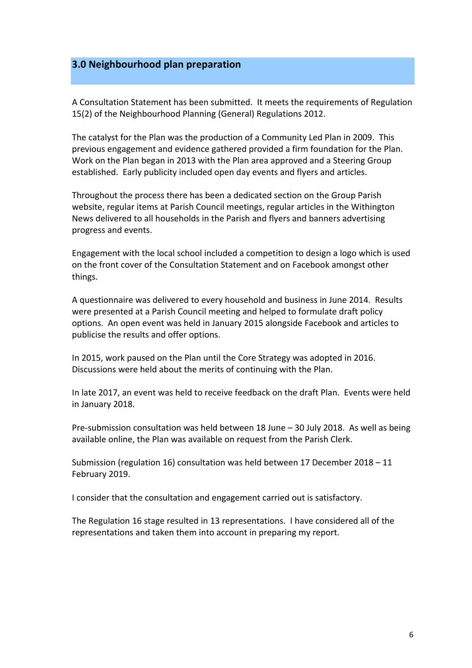## **3.0 Neighbourhood plan preparation**

A Consultation Statement has been submitted. It meets the requirements of Regulation 15(2) of the Neighbourhood Planning (General) Regulations 2012.

The catalyst for the Plan was the production of a Community Led Plan in 2009. This previous engagement and evidence gathered provided a firm foundation for the Plan. Work on the Plan began in 2013 with the Plan area approved and a Steering Group established. Early publicity included open day events and flyers and articles.

Throughout the process there has been a dedicated section on the Group Parish website, regular items at Parish Council meetings, regular articles in the Withington News delivered to all households in the Parish and flyers and banners advertising progress and events.

Engagement with the local school included a competition to design a logo which is used on the front cover of the Consultation Statement and on Facebook amongst other things.

 A questionnaire was delivered to every household and business in June 2014. Results were presented at a Parish Council meeting and helped to formulate draft policy options. An open event was held in January 2015 alongside Facebook and articles to publicise the results and offer options.

 In 2015, work paused on the Plan until the Core Strategy was adopted in 2016. Discussions were held about the merits of continuing with the Plan.

In late 2017, an event was held to receive feedback on the draft Plan. Events were held in January 2018.

Pre-submission consultation was held between 18 June - 30 July 2018. As well as being available online, the Plan was available on request from the Parish Clerk.

Submission (regulation 16) consultation was held between 17 December 2018 - 11 February 2019.

I consider that the consultation and engagement carried out is satisfactory.

The Regulation 16 stage resulted in 13 representations. I have considered all of the representations and taken them into account in preparing my report.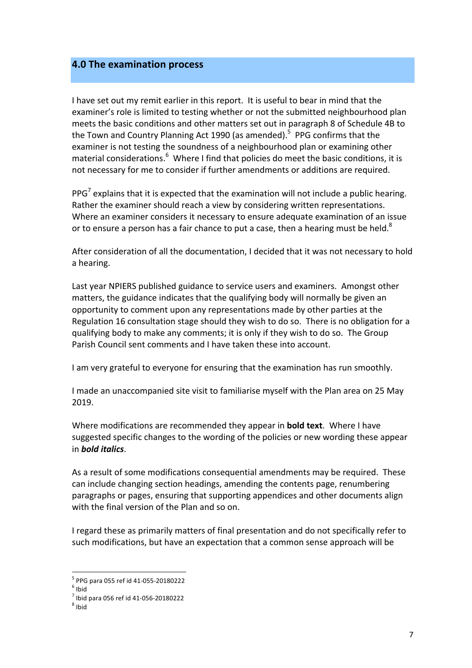### **4.0 The examination process**

I have set out my remit earlier in this report. It is useful to bear in mind that the examiner's role is limited to testing whether or not the submitted neighbourhood plan meets the basic conditions and other matters set out in paragraph 8 of Schedule 4B to the Town and Country Planning Act 1990 (as amended).<sup>5</sup> PPG confirms that the examiner is not testing the soundness of a neighbourhood plan or examining other material considerations.<sup>6</sup> Where I find that policies do meet the basic conditions, it is not necessary for me to consider if further amendments or additions are required.

PPG<sup>7</sup> explains that it is expected that the examination will not include a public hearing. Rather the examiner should reach a view by considering written representations. Where an examiner considers it necessary to ensure adequate examination of an issue or to ensure a person has a fair chance to put a case, then a hearing must be held.<sup>8</sup>

After consideration of all the documentation, I decided that it was not necessary to hold a hearing.

Last year NPIERS published guidance to service users and examiners. Amongst other matters, the guidance indicates that the qualifying body will normally be given an opportunity to comment upon any representations made by other parties at the Regulation 16 consultation stage should they wish to do so. There is no obligation for a qualifying body to make any comments; it is only if they wish to do so. The Group Parish Council sent comments and I have taken these into account.

I am very grateful to everyone for ensuring that the examination has run smoothly.

I made an unaccompanied site visit to familiarise myself with the Plan area on 25 May 2019.

Where modifications are recommended they appear in **bold text**. Where I have suggested specific changes to the wording of the policies or new wording these appear in *bold italics*. 

As a result of some modifications consequential amendments may be required. These can include changing section headings, amending the contents page, renumbering paragraphs or pages, ensuring that supporting appendices and other documents align with the final version of the Plan and so on.

I regard these as primarily matters of final presentation and do not specifically refer to such modifications, but have an expectation that a common sense approach will be

 <sup>5</sup> PPG para 055 ref id 41-055-20180222<br><sup>6</sup> Ibid

 $<sup>6</sup>$  Ibid</sup>

 $^7$  Ibid para 056 ref id 41-056-20180222<br> $^8$  Ibid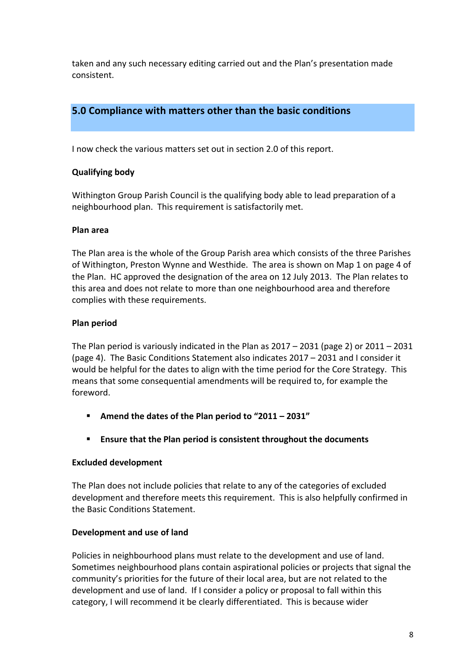taken and any such necessary editing carried out and the Plan's presentation made consistent.

## **5.0 Compliance with matters other than the basic conditions**

I now check the various matters set out in section 2.0 of this report.

## **Qualifying body**

Withington Group Parish Council is the qualifying body able to lead preparation of a neighbourhood plan. This requirement is satisfactorily met.

#### **Plan area**

The Plan area is the whole of the Group Parish area which consists of the three Parishes of Withington, Preston Wynne and Westhide. The area is shown on Map 1 on page 4 of the Plan. HC approved the designation of the area on 12 July 2013. The Plan relates to this area and does not relate to more than one neighbourhood area and therefore complies with these requirements.

#### **Plan period**

The Plan period is variously indicated in the Plan as  $2017 - 2031$  (page 2) or  $2011 - 2031$ (page 4). The Basic Conditions Statement also indicates 2017 - 2031 and I consider it would be helpful for the dates to align with the time period for the Core Strategy. This means that some consequential amendments will be required to, for example the foreword.

- **P** Amend the dates of the Plan period to "2011 2031"
- Ensure that the Plan period is consistent throughout the documents

#### **Excluded development**

The Plan does not include policies that relate to any of the categories of excluded development and therefore meets this requirement. This is also helpfully confirmed in the Basic Conditions Statement.

#### **Development and use of land**

Policies in neighbourhood plans must relate to the development and use of land. Sometimes neighbourhood plans contain aspirational policies or projects that signal the community's priorities for the future of their local area, but are not related to the development and use of land. If I consider a policy or proposal to fall within this category, I will recommend it be clearly differentiated. This is because wider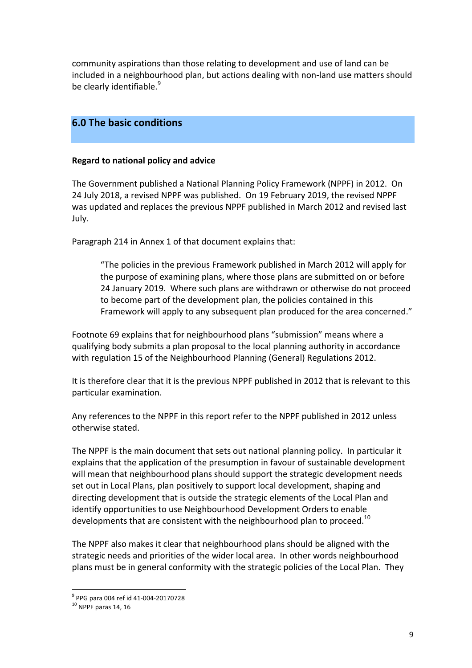community aspirations than those relating to development and use of land can be included in a neighbourhood plan, but actions dealing with non-land use matters should be clearly identifiable.<sup>9</sup>

## **6.0 The basic conditions**

#### **Regard to national policy and advice**

The Government published a National Planning Policy Framework (NPPF) in 2012. On 24 July 2018, a revised NPPF was published. On 19 February 2019, the revised NPPF was updated and replaces the previous NPPF published in March 2012 and revised last July.

Paragraph 214 in Annex 1 of that document explains that:

 "The policies in the previous Framework published in March 2012 will apply for the purpose of examining plans, where those plans are submitted on or before 24 January 2019. Where such plans are withdrawn or otherwise do not proceed to become part of the development plan, the policies contained in this Framework will apply to any subsequent plan produced for the area concerned."

Footnote 69 explains that for neighbourhood plans "submission" means where a qualifying body submits a plan proposal to the local planning authority in accordance with regulation 15 of the Neighbourhood Planning (General) Regulations 2012.

It is therefore clear that it is the previous NPPF published in 2012 that is relevant to this particular examination.

Any references to the NPPF in this report refer to the NPPF published in 2012 unless otherwise stated.

The NPPF is the main document that sets out national planning policy. In particular it explains that the application of the presumption in favour of sustainable development will mean that neighbourhood plans should support the strategic development needs set out in Local Plans, plan positively to support local development, shaping and directing development that is outside the strategic elements of the Local Plan and identify opportunities to use Neighbourhood Development Orders to enable developments that are consistent with the neighbourhood plan to proceed.<sup>10</sup>

The NPPF also makes it clear that neighbourhood plans should be aligned with the strategic needs and priorities of the wider local area. In other words neighbourhood plans must be in general conformity with the strategic policies of the Local Plan. They

 <sup>9</sup> PPG para 004 ref id 41-004-20170728<br><sup>10</sup> NPPF paras 14, 16

 $10$  NPPF paras 14.16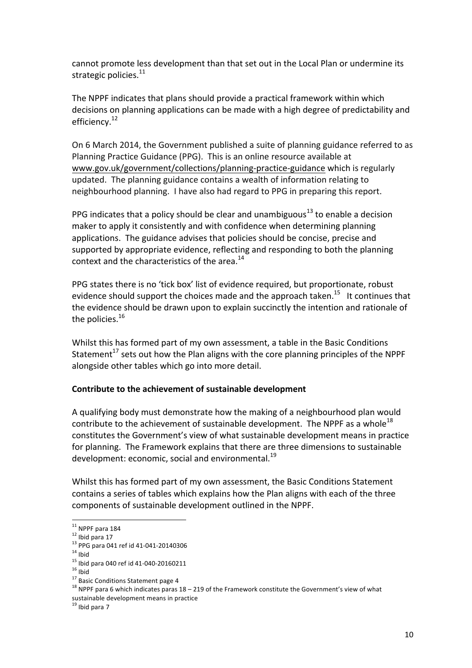cannot promote less development than that set out in the Local Plan or undermine its strategic policies.<sup>11</sup>

The NPPF indicates that plans should provide a practical framework within which decisions on planning applications can be made with a high degree of predictability and efficiency.<sup>12</sup>

On 6 March 2014, the Government published a suite of planning guidance referred to as Planning Practice Guidance (PPG). This is an online resource available at www.gov.uk/government/collections/planning-practice-guidance which is regularly updated. The planning guidance contains a wealth of information relating to neighbourhood planning. I have also had regard to PPG in preparing this report.

PPG indicates that a policy should be clear and unambiguous<sup>13</sup> to enable a decision maker to apply it consistently and with confidence when determining planning applications. The guidance advises that policies should be concise, precise and supported by appropriate evidence, reflecting and responding to both the planning context and the characteristics of the area. $^{14}$ 

PPG states there is no 'tick box' list of evidence required, but proportionate, robust evidence should support the choices made and the approach taken.<sup>15</sup> It continues that the evidence should be drawn upon to explain succinctly the intention and rationale of the policies. $^{16}$ 

Whilst this has formed part of my own assessment, a table in the Basic Conditions Statement<sup>17</sup> sets out how the Plan aligns with the core planning principles of the NPPF alongside other tables which go into more detail.

#### Contribute to the achievement of sustainable development

A qualifying body must demonstrate how the making of a neighbourhood plan would contribute to the achievement of sustainable development. The NPPF as a whole<sup>18</sup> constitutes the Government's view of what sustainable development means in practice for planning. The Framework explains that there are three dimensions to sustainable development: economic, social and environmental.<sup>19</sup>

Whilst this has formed part of my own assessment, the Basic Conditions Statement contains a series of tables which explains how the Plan aligns with each of the three components of sustainable development outlined in the NPPF.

 $12$  Ibid para 17

<sup>&</sup>lt;sup>13</sup> PPG para 041 ref id 41-041-20140306

<sup>&</sup>lt;sup>14</sup> Ibid<br><sup>15</sup> Ibid para 040 ref id 41-040-20160211

 $16$  Ibid

<sup>&</sup>lt;sup>17</sup> Basic Conditions Statement page 4

<sup>&</sup>lt;sup>11</sup> NPPF para 184<br><sup>12</sup> Ibid para 17<br><sup>13</sup> PPG para 041 ref id 41-041-20140306<br><sup>14</sup> Ibid<br><sup>15</sup> Ibid<br><sup>17</sup> Basic Conditions Statement page 4<br><sup>17</sup> Basic Conditions Statement page 4<br><sup>18</sup> NPPF para 6 which indicates paras 18 – 2 sustainable development means in practice<br><sup>19</sup> Ibid para 7

<sup>&</sup>lt;sup>19</sup> Ibid para 7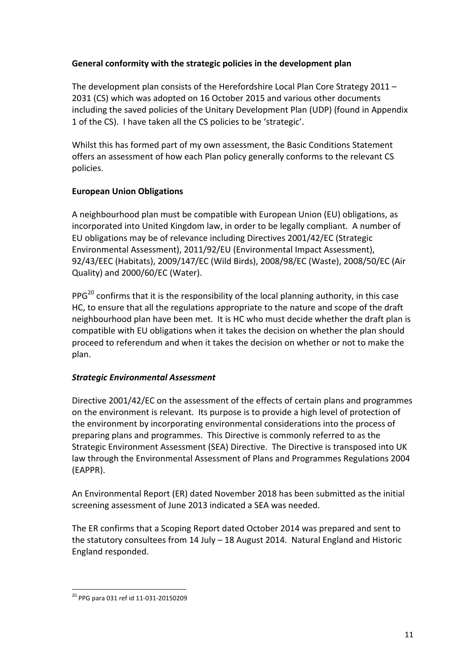## General conformity with the strategic policies in the development plan

The development plan consists of the Herefordshire Local Plan Core Strategy 2011  $-$ 2031 (CS) which was adopted on 16 October 2015 and various other documents including the saved policies of the Unitary Development Plan (UDP) (found in Appendix 1 of the CS). I have taken all the CS policies to be 'strategic'.

Whilst this has formed part of my own assessment, the Basic Conditions Statement offers an assessment of how each Plan policy generally conforms to the relevant CS policies.

## **European Union Obligations**

A neighbourhood plan must be compatible with European Union (EU) obligations, as incorporated into United Kingdom law, in order to be legally compliant. A number of EU obligations may be of relevance including Directives 2001/42/EC (Strategic Environmental Assessment), 2011/92/EU (Environmental Impact Assessment), 92/43/EEC (Habitats), 2009/147/EC (Wild Birds), 2008/98/EC (Waste), 2008/50/EC (Air Quality) and 2000/60/EC (Water).

PPG<sup>20</sup> confirms that it is the responsibility of the local planning authority, in this case HC, to ensure that all the regulations appropriate to the nature and scope of the draft neighbourhood plan have been met. It is HC who must decide whether the draft plan is compatible with EU obligations when it takes the decision on whether the plan should proceed to referendum and when it takes the decision on whether or not to make the plan.

## *Strategic Environmental Assessment*

Directive 2001/42/EC on the assessment of the effects of certain plans and programmes on the environment is relevant. Its purpose is to provide a high level of protection of the environment by incorporating environmental considerations into the process of preparing plans and programmes. This Directive is commonly referred to as the Strategic Environment Assessment (SEA) Directive. The Directive is transposed into UK law through the Environmental Assessment of Plans and Programmes Regulations 2004 (EAPPR).

An Environmental Report (ER) dated November 2018 has been submitted as the initial screening assessment of June 2013 indicated a SEA was needed.

The ER confirms that a Scoping Report dated October 2014 was prepared and sent to the statutory consultees from 14 July - 18 August 2014. Natural England and Historic England responded.

 <sup>20</sup> PPG para 031 ref id 11-031-20150209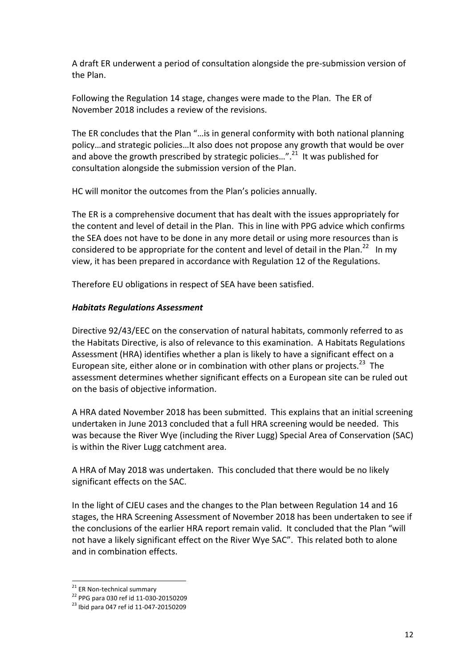A draft ER underwent a period of consultation alongside the pre-submission version of the Plan.

Following the Regulation 14 stage, changes were made to the Plan. The ER of November 2018 includes a review of the revisions.

The ER concludes that the Plan "...is in general conformity with both national planning policy...and strategic policies...It also does not propose any growth that would be over and above the growth prescribed by strategic policies...".<sup>21</sup> It was published for consultation alongside the submission version of the Plan.

 HC will monitor the outcomes from the Plan's policies annually.

The ER is a comprehensive document that has dealt with the issues appropriately for the content and level of detail in the Plan. This in line with PPG advice which confirms the SEA does not have to be done in any more detail or using more resources than is considered to be appropriate for the content and level of detail in the Plan.<sup>22</sup> In my view, it has been prepared in accordance with Regulation 12 of the Regulations.

Therefore EU obligations in respect of SEA have been satisfied.

## *Habitats Regulations Assessment*

 Directive 92/43/EEC on the conservation of natural habitats, commonly referred to as the Habitats Directive, is also of relevance to this examination. A Habitats Regulations Assessment (HRA) identifies whether a plan is likely to have a significant effect on a European site, either alone or in combination with other plans or projects.<sup>23</sup> The assessment determines whether significant effects on a European site can be ruled out on the basis of objective information.

A HRA dated November 2018 has been submitted. This explains that an initial screening undertaken in June 2013 concluded that a full HRA screening would be needed. This was because the River Wye (including the River Lugg) Special Area of Conservation (SAC) is within the River Lugg catchment area.

A HRA of May 2018 was undertaken. This concluded that there would be no likely significant effects on the SAC.

In the light of CJEU cases and the changes to the Plan between Regulation 14 and 16 stages, the HRA Screening Assessment of November 2018 has been undertaken to see if the conclusions of the earlier HRA report remain valid. It concluded that the Plan "will not have a likely significant effect on the River Wye SAC". This related both to alone and in combination effects.

id <sup>21</sup> ER Non-technical summary<br><sup>22</sup> PPG para 030 ref id 11-030-20150209<br><sup>23</sup> Ibid para 047 ref id 11-047-20150209

 $^{23}$  Ibid para 047 ref id 11-047-20150209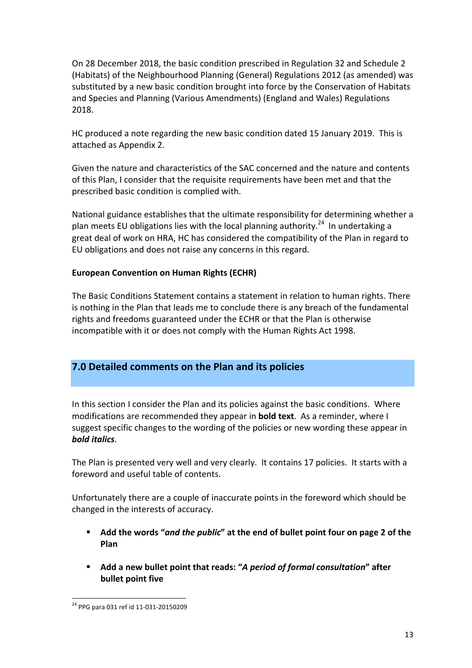On 28 December 2018, the basic condition prescribed in Regulation 32 and Schedule 2 (Habitats) of the Neighbourhood Planning (General) Regulations 2012 (as amended) was substituted by a new basic condition brought into force by the Conservation of Habitats and Species and Planning (Various Amendments) (England and Wales) Regulations 2018.

HC produced a note regarding the new basic condition dated 15 January 2019. This is attached as Appendix 2.

 Given the nature and characteristics of the SAC concerned and the nature and contents of this Plan, I consider that the requisite requirements have been met and that the prescribed basic condition is complied with.

National guidance establishes that the ultimate responsibility for determining whether a plan meets EU obligations lies with the local planning authority.<sup>24</sup> In undertaking a great deal of work on HRA, HC has considered the compatibility of the Plan in regard to EU obligations and does not raise any concerns in this regard.

## **European Convention on Human Rights (ECHR)**

The Basic Conditions Statement contains a statement in relation to human rights. There is nothing in the Plan that leads me to conclude there is any breach of the fundamental rights and freedoms guaranteed under the ECHR or that the Plan is otherwise incompatible with it or does not comply with the Human Rights Act 1998.

## **7.0 Detailed comments on the Plan and its policies**

In this section I consider the Plan and its policies against the basic conditions. Where modifications are recommended they appear in **bold text**. As a reminder, where I suggest specific changes to the wording of the policies or new wording these appear in *bold italics*.

The Plan is presented very well and very clearly. It contains 17 policies. It starts with a foreword and useful table of contents.

Unfortunately there are a couple of inaccurate points in the foreword which should be changed in the interests of accuracy.

- **E** Add the words "and the public" at the end of bullet point four on page 2 of the **Plan**
- $\blacksquare$  Add a new bullet point that reads: "A period of formal consultation" after **bullet** point five

 <sup>24</sup> PPG para 031 ref id 11-031-20150209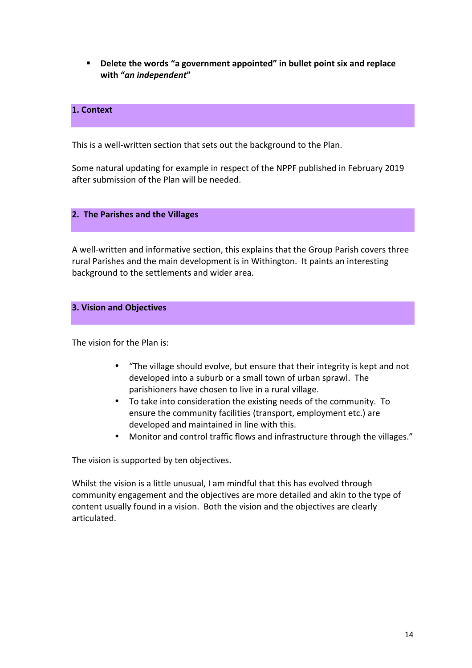**EXECTE:** Delete the words "a government appointed" in bullet point six and replace **with "***an independent***"**

### **1. Context**

This is a well-written section that sets out the background to the Plan.

Some natural updating for example in respect of the NPPF published in February 2019 after submission of the Plan will be needed.

#### **2. The Parishes and the Villages**

A well-written and informative section, this explains that the Group Parish covers three rural Parishes and the main development is in Withington. It paints an interesting background to the settlements and wider area.

#### **3. Vision and Objectives**

 The vision for the Plan is:

- "The village should evolve, but ensure that their integrity is kept and not developed into a suburb or a small town of urban sprawl. The parishioners have chosen to live in a rural village.
- • To take into consideration the existing needs of the community. To ensure the community facilities (transport, employment etc.) are developed and maintained in line with this.
- Monitor and control traffic flows and infrastructure through the villages."

The vision is supported by ten objectives.

Whilst the vision is a little unusual, I am mindful that this has evolved through community engagement and the objectives are more detailed and akin to the type of content usually found in a vision. Both the vision and the objectives are clearly articulated.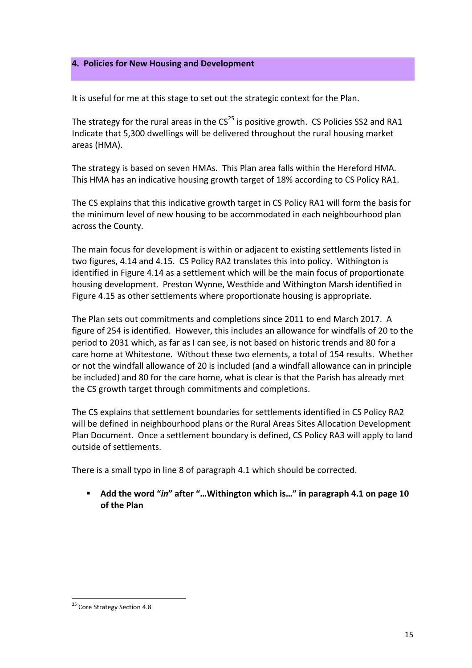#### **4. Policies for New Housing and Development**

It is useful for me at this stage to set out the strategic context for the Plan.

The strategy for the rural areas in the  $CS^{25}$  is positive growth. CS Policies SS2 and RA1 Indicate that 5,300 dwellings will be delivered throughout the rural housing market areas (HMA).

The strategy is based on seven HMAs. This Plan area falls within the Hereford HMA. This HMA has an indicative housing growth target of 18% according to CS Policy RA1.

The CS explains that this indicative growth target in CS Policy RA1 will form the basis for the minimum level of new housing to be accommodated in each neighbourhood plan across the County.

The main focus for development is within or adjacent to existing settlements listed in two figures, 4.14 and 4.15. CS Policy RA2 translates this into policy. Withington is identified in Figure 4.14 as a settlement which will be the main focus of proportionate housing development. Preston Wynne, Westhide and Withington Marsh identified in Figure 4.15 as other settlements where proportionate housing is appropriate.

The Plan sets out commitments and completions since 2011 to end March 2017. A figure of 254 is identified. However, this includes an allowance for windfalls of 20 to the period to 2031 which, as far as I can see, is not based on historic trends and 80 for a care home at Whitestone. Without these two elements, a total of 154 results. Whether or not the windfall allowance of 20 is included (and a windfall allowance can in principle be included) and 80 for the care home, what is clear is that the Parish has already met the CS growth target through commitments and completions. 

The CS explains that settlement boundaries for settlements identified in CS Policy RA2 will be defined in neighbourhood plans or the Rural Areas Sites Allocation Development Plan Document. Once a settlement boundary is defined, CS Policy RA3 will apply to land outside of settlements.

There is a small typo in line 8 of paragraph 4.1 which should be corrected.

**E** Add the word "in" after "...Withington which is..." in paragraph 4.1 on page 10  **of the Plan**

<sup>&</sup>lt;sup>25</sup> Core Strategy Section 4.8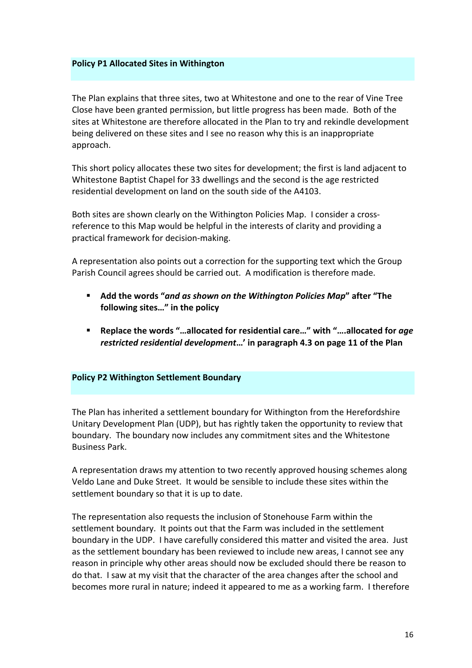#### **Policy P1 Allocated Sites in Withington**

The Plan explains that three sites, two at Whitestone and one to the rear of Vine Tree Close have been granted permission, but little progress has been made. Both of the sites at Whitestone are therefore allocated in the Plan to try and rekindle development being delivered on these sites and I see no reason why this is an inappropriate approach.

This short policy allocates these two sites for development; the first is land adjacent to Whitestone Baptist Chapel for 33 dwellings and the second is the age restricted residential development on land on the south side of the A4103.

Both sites are shown clearly on the Withington Policies Map. I consider a cross- reference to this Map would be helpful in the interests of clarity and providing a practical framework for decision-making.

A representation also points out a correction for the supporting text which the Group Parish Council agrees should be carried out. A modification is therefore made.

- **E** Add the words "and as shown on the Withington Policies Map" after "The following sites..." in the policy
- Replace the words "…allocated for residential care…" with "….allocated for *age restricted residential development***…' in paragraph 4.3 on page 11 of the Plan**

#### **Policy P2 Withington Settlement Boundary**

The Plan has inherited a settlement boundary for Withington from the Herefordshire Unitary Development Plan (UDP), but has rightly taken the opportunity to review that boundary. The boundary now includes any commitment sites and the Whitestone Business Park.

 A representation draws my attention to two recently approved housing schemes along Veldo Lane and Duke Street. It would be sensible to include these sites within the settlement boundary so that it is up to date.

 The representation also requests the inclusion of Stonehouse Farm within the settlement boundary. It points out that the Farm was included in the settlement boundary in the UDP. I have carefully considered this matter and visited the area. Just as the settlement boundary has been reviewed to include new areas, I cannot see any reason in principle why other areas should now be excluded should there be reason to do that. I saw at my visit that the character of the area changes after the school and becomes more rural in nature; indeed it appeared to me as a working farm. I therefore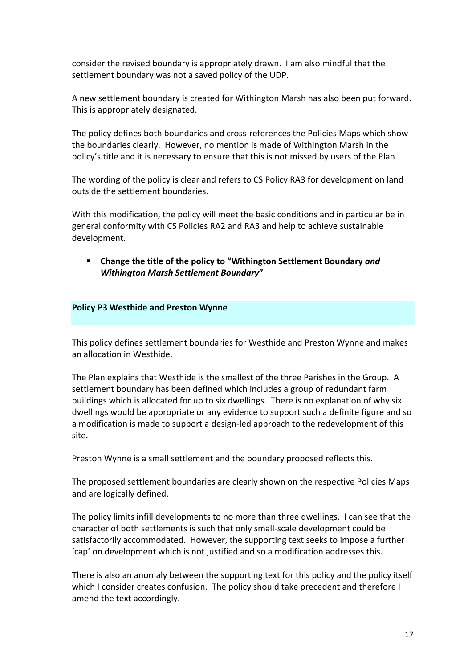consider the revised boundary is appropriately drawn. I am also mindful that the settlement boundary was not a saved policy of the UDP.

A new settlement boundary is created for Withington Marsh has also been put forward. This is appropriately designated.

 The policy defines both boundaries and cross-references the Policies Maps which show the boundaries clearly. However, no mention is made of Withington Marsh in the policy's title and it is necessary to ensure that this is not missed by users of the Plan.

 The wording of the policy is clear and refers to CS Policy RA3 for development on land outside the settlement boundaries.

With this modification, the policy will meet the basic conditions and in particular be in general conformity with CS Policies RA2 and RA3 and help to achieve sustainable development.

 *Withington Marsh Settlement Boundary***" EXECHANGE:** Change the title of the policy to "Withington Settlement Boundary *and* 

#### **Policy P3 Westhide and Preston Wynne**

This policy defines settlement boundaries for Westhide and Preston Wynne and makes an allocation in Westhide.

The Plan explains that Westhide is the smallest of the three Parishes in the Group. A settlement boundary has been defined which includes a group of redundant farm buildings which is allocated for up to six dwellings. There is no explanation of why six dwellings would be appropriate or any evidence to support such a definite figure and so a modification is made to support a design-led approach to the redevelopment of this site.

Preston Wynne is a small settlement and the boundary proposed reflects this.

The proposed settlement boundaries are clearly shown on the respective Policies Maps and are logically defined.

The policy limits infill developments to no more than three dwellings. I can see that the character of both settlements is such that only small-scale development could be satisfactorily accommodated. However, the supporting text seeks to impose a further 'cap' on development which is not justified and so a modification addresses this.

There is also an anomaly between the supporting text for this policy and the policy itself which I consider creates confusion. The policy should take precedent and therefore I amend the text accordingly.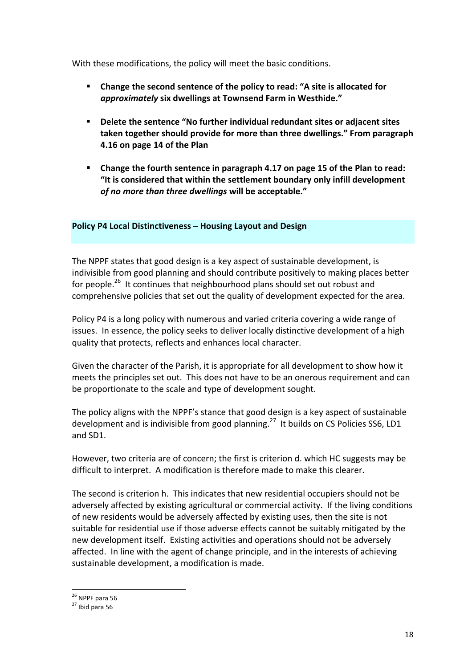With these modifications, the policy will meet the basic conditions.

- $\blacksquare$  Change the second sentence of the policy to read: "A site is allocated for  *approximately* **six dwellings at Townsend Farm in Westhide."**
- **taken together should provide for more than three dwellings." From paragraph Delete the sentence "No further individual redundant sites or adjacent sites 4.16 on page 14 of the Plan**
- Change the fourth sentence in paragraph 4.17 on page 15 of the Plan to read: "It is considered that within the settlement boundary only infill development of no more than three dwellings will be acceptable."

#### **Policy P4 Local Distinctiveness – Housing Layout and Design**

The NPPF states that good design is a key aspect of sustainable development, is indivisible from good planning and should contribute positively to making places better for people.<sup>26</sup> It continues that neighbourhood plans should set out robust and comprehensive policies that set out the quality of development expected for the area.

Policy P4 is a long policy with numerous and varied criteria covering a wide range of issues. In essence, the policy seeks to deliver locally distinctive development of a high quality that protects, reflects and enhances local character.

Given the character of the Parish, it is appropriate for all development to show how it meets the principles set out. This does not have to be an onerous requirement and can be proportionate to the scale and type of development sought.

The policy aligns with the NPPF's stance that good design is a key aspect of sustainable development and is indivisible from good planning.<sup>27</sup> It builds on CS Policies SS6, LD1 and SD1.

However, two criteria are of concern; the first is criterion d. which HC suggests may be difficult to interpret. A modification is therefore made to make this clearer.

The second is criterion h. This indicates that new residential occupiers should not be adversely affected by existing agricultural or commercial activity. If the living conditions of new residents would be adversely affected by existing uses, then the site is not suitable for residential use if those adverse effects cannot be suitably mitigated by the new development itself. Existing activities and operations should not be adversely affected. In line with the agent of change principle, and in the interests of achieving sustainable development, a modification is made.

<sup>&</sup>lt;sup>26</sup> NPPF para 56<br><sup>27</sup> Ibid para 56

 $27$  Ibid para 56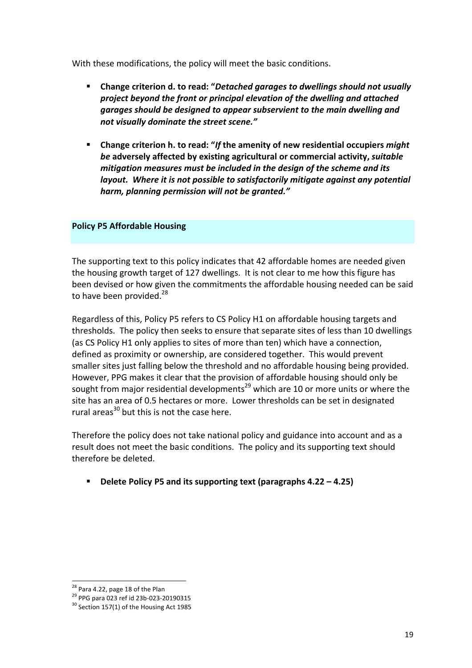With these modifications, the policy will meet the basic conditions.

- **E** Change criterion d. to read: "Detached garages to dwellings should not usually  *garages should be designed to appear subservient to the main dwelling and not visually dominate the street scene." project beyond the front or principal elevation of the dwelling and attached*
- *mitigation measures must be included in the design of the scheme and its layout. Where it is not possible to satisfactorily mitigate against any potential harm, planning permission will not be granted."* **Change criterion h. to read: "If the amenity of new residential occupiers might** *be* adversely affected by existing agricultural or commercial activity, *suitable*

#### **Policy P5 Affordable Housing**

The supporting text to this policy indicates that 42 affordable homes are needed given the housing growth target of 127 dwellings. It is not clear to me how this figure has been devised or how given the commitments the affordable housing needed can be said to have been provided.<sup>28</sup>

 Regardless of this, Policy P5 refers to CS Policy H1 on affordable housing targets and thresholds. The policy then seeks to ensure that separate sites of less than 10 dwellings (as CS Policy H1 only applies to sites of more than ten) which have a connection, defined as proximity or ownership, are considered together. This would prevent smaller sites just falling below the threshold and no affordable housing being provided. However, PPG makes it clear that the provision of affordable housing should only be sought from major residential developments<sup>29</sup> which are 10 or more units or where the site has an area of 0.5 hectares or more. Lower thresholds can be set in designated rural areas<sup>30</sup> but this is not the case here.

Therefore the policy does not take national policy and guidance into account and as a result does not meet the basic conditions. The policy and its supporting text should therefore be deleted.

**E** Delete Policy P5 and its supporting text (paragraphs 4.22 – 4.25)

<sup>&</sup>lt;sup>28</sup> Para 4.22, page 18 of the Plan

id

 $30$  Section 157(1) of the Housing Act 1985 <sup>28</sup> Para 4.22, page 18 of the Plan<br><sup>29</sup> PPG para 023 ref id 23b-023-20190315<br><sup>30</sup> Section 157(1) of the Housing Act 1985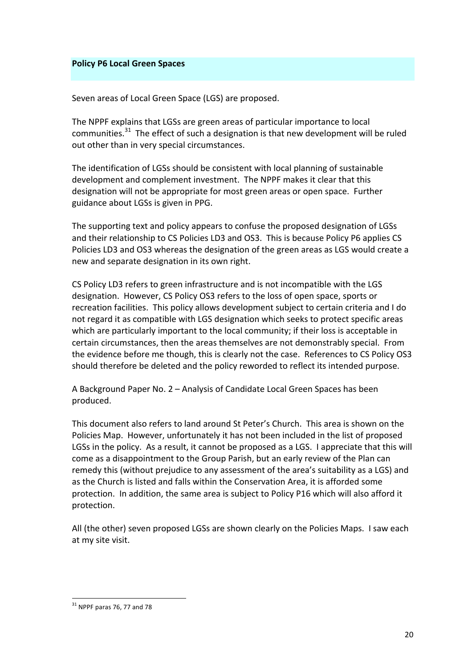#### **Policy P6 Local Green Spaces**

 Seven areas of Local Green Space (LGS) are proposed.

The NPPF explains that LGSs are green areas of particular importance to local communities. $^{31}$  The effect of such a designation is that new development will be ruled out other than in very special circumstances.

The identification of LGSs should be consistent with local planning of sustainable development and complement investment. The NPPF makes it clear that this designation will not be appropriate for most green areas or open space. Further guidance about LGSs is given in PPG.

The supporting text and policy appears to confuse the proposed designation of LGSs and their relationship to CS Policies LD3 and OS3. This is because Policy P6 applies CS Policies LD3 and OS3 whereas the designation of the green areas as LGS would create a new and separate designation in its own right.

CS Policy LD3 refers to green infrastructure and is not incompatible with the LGS designation. However, CS Policy OS3 refers to the loss of open space, sports or recreation facilities. This policy allows development subject to certain criteria and I do not regard it as compatible with LGS designation which seeks to protect specific areas which are particularly important to the local community; if their loss is acceptable in certain circumstances, then the areas themselves are not demonstrably special. From the evidence before me though, this is clearly not the case. References to CS Policy OS3 should therefore be deleted and the policy reworded to reflect its intended purpose.

 A Background Paper No. 2 – Analysis of Candidate Local Green Spaces has been produced. 

This document also refers to land around St Peter's Church. This area is shown on the Policies Map. However, unfortunately it has not been included in the list of proposed LGSs in the policy. As a result, it cannot be proposed as a LGS. I appreciate that this will come as a disappointment to the Group Parish, but an early review of the Plan can remedy this (without prejudice to any assessment of the area's suitability as a LGS) and as the Church is listed and falls within the Conservation Area, it is afforded some protection. In addition, the same area is subject to Policy P16 which will also afford it protection.

All (the other) seven proposed LGSs are shown clearly on the Policies Maps. I saw each at my site visit.

  $31$  NPPF paras 76, 77 and 78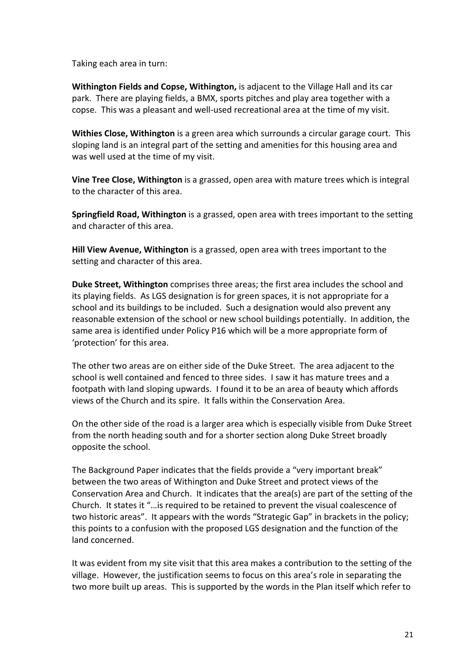Taking each area in turn:

**Withington Fields and Copse, Withington,** is adjacent to the Village Hall and its car park. There are playing fields, a BMX, sports pitches and play area together with a copse. This was a pleasant and well-used recreational area at the time of my visit.

Withies Close, Withington is a green area which surrounds a circular garage court. This sloping land is an integral part of the setting and amenities for this housing area and was well used at the time of my visit.

**Vine Tree Close, Withington** is a grassed, open area with mature trees which is integral to the character of this area.

**Springfield Road, Withington** is a grassed, open area with trees important to the setting and character of this area.

**Hill View Avenue, Withington** is a grassed, open area with trees important to the setting and character of this area.

**Duke Street, Withington** comprises three areas; the first area includes the school and its playing fields. As LGS designation is for green spaces, it is not appropriate for a school and its buildings to be included. Such a designation would also prevent any reasonable extension of the school or new school buildings potentially. In addition, the same area is identified under Policy P16 which will be a more appropriate form of 'protection' for this area.

The other two areas are on either side of the Duke Street. The area adjacent to the school is well contained and fenced to three sides. I saw it has mature trees and a footpath with land sloping upwards. I found it to be an area of beauty which affords views of the Church and its spire. It falls within the Conservation Area.

On the other side of the road is a larger area which is especially visible from Duke Street from the north heading south and for a shorter section along Duke Street broadly opposite the school. 

The Background Paper indicates that the fields provide a "very important break" between the two areas of Withington and Duke Street and protect views of the Conservation Area and Church. It indicates that the area(s) are part of the setting of the Church. It states it "...is required to be retained to prevent the visual coalescence of two historic areas". It appears with the words "Strategic Gap" in brackets in the policy; this points to a confusion with the proposed LGS designation and the function of the land concerned.

It was evident from my site visit that this area makes a contribution to the setting of the village. However, the justification seems to focus on this area's role in separating the two more built up areas. This is supported by the words in the Plan itself which refer to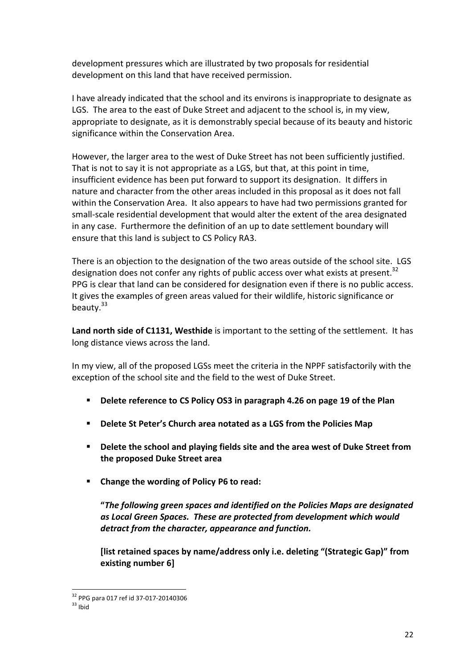development pressures which are illustrated by two proposals for residential development on this land that have received permission.

I have already indicated that the school and its environs is inappropriate to designate as LGS. The area to the east of Duke Street and adjacent to the school is, in my view, appropriate to designate, as it is demonstrably special because of its beauty and historic significance within the Conservation Area.

However, the larger area to the west of Duke Street has not been sufficiently justified. That is not to say it is not appropriate as a LGS, but that, at this point in time, insufficient evidence has been put forward to support its designation. It differs in nature and character from the other areas included in this proposal as it does not fall within the Conservation Area. It also appears to have had two permissions granted for small-scale residential development that would alter the extent of the area designated in any case. Furthermore the definition of an up to date settlement boundary will ensure that this land is subject to CS Policy RA3.

There is an objection to the designation of the two areas outside of the school site. LGS designation does not confer any rights of public access over what exists at present.<sup>32</sup> PPG is clear that land can be considered for designation even if there is no public access. It gives the examples of green areas valued for their wildlife, historic significance or beauty.<sup>33</sup>

Land north side of C1131, Westhide is important to the setting of the settlement. It has long distance views across the land.

In my view, all of the proposed LGSs meet the criteria in the NPPF satisfactorily with the exception of the school site and the field to the west of Duke Street.

- **E** Delete reference to CS Policy OS3 in paragraph 4.26 on page 19 of the Plan
- $\blacksquare$  Delete St Peter's Church area notated as a LGS from the Policies Map
- **P** Delete the school and playing fields site and the area west of Duke Street from  **the proposed Duke Street area**
- Change the wording of Policy P6 to read:

 **"***The following green spaces and identified on the Policies Maps are designated as Local Green Spaces. These are protected from development which would* detract from the character, appearance and function.

 **[list retained spaces by name/address only i.e. deleting "(Strategic Gap)" from existing number 6]** 

  $\frac{32}{33}$  PPG para 017 ref id 37-017-20140306<br> $\frac{33}{31}$  Ibid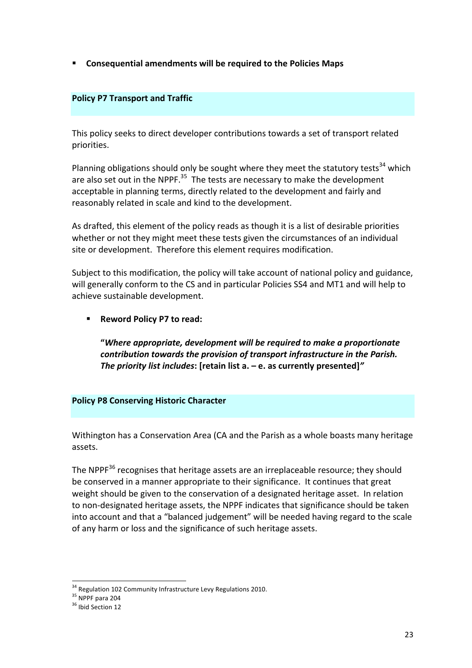**E** Consequential amendments will be required to the Policies Maps

#### **Policy P7 Transport and Traffic**

This policy seeks to direct developer contributions towards a set of transport related priorities.

Planning obligations should only be sought where they meet the statutory tests<sup>34</sup> which are also set out in the NPPF.<sup>35</sup> The tests are necessary to make the development acceptable in planning terms, directly related to the development and fairly and reasonably related in scale and kind to the development.

As drafted, this element of the policy reads as though it is a list of desirable priorities whether or not they might meet these tests given the circumstances of an individual site or development. Therefore this element requires modification.

Subject to this modification, the policy will take account of national policy and guidance, will generally conform to the CS and in particular Policies SS4 and MT1 and will help to achieve sustainable development.

 § **Reword Policy P7 to read:**

 **"***Where appropriate, development will be required to make a proportionate contribution towards the provision of transport infrastructure in the Parish. The priority list includes***: [retain list a. – e. as currently presented]***"*

## **Policy P8 Conserving Historic Character**

Withington has a Conservation Area (CA and the Parish as a whole boasts many heritage assets.

The NPPF<sup>36</sup> recognises that heritage assets are an irreplaceable resource; they should be conserved in a manner appropriate to their significance. It continues that great weight should be given to the conservation of a designated heritage asset. In relation to non-designated heritage assets, the NPPF indicates that significance should be taken into account and that a "balanced judgement" will be needed having regard to the scale of any harm or loss and the significance of such heritage assets.

<sup>&</sup>lt;sup>34</sup> Regulation 102 Community Infrastructure Levy Regulations 2010.<br><sup>35</sup> NPPF para 204<br><sup>36</sup> Ibid Section 12

 $35$  NPPF para 204

<sup>&</sup>lt;sup>36</sup> Ihid Section 12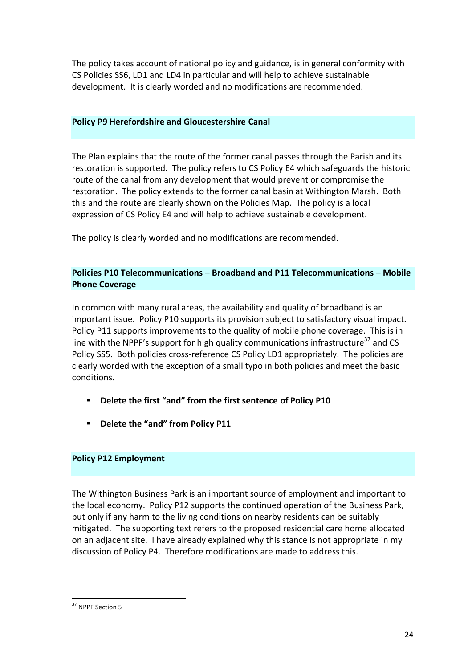The policy takes account of national policy and guidance, is in general conformity with CS Policies SS6, LD1 and LD4 in particular and will help to achieve sustainable development. It is clearly worded and no modifications are recommended.

#### **Policy P9 Herefordshire and Gloucestershire Canal**

The Plan explains that the route of the former canal passes through the Parish and its restoration is supported. The policy refers to CS Policy E4 which safeguards the historic route of the canal from any development that would prevent or compromise the restoration. The policy extends to the former canal basin at Withington Marsh. Both this and the route are clearly shown on the Policies Map. The policy is a local expression of CS Policy E4 and will help to achieve sustainable development.

 The policy is clearly worded and no modifications are recommended.

### **Policies P10 Telecommunications – Broadband and P11 Telecommunications – Mobile Phone Coverage**

 In common with many rural areas, the availability and quality of broadband is an important issue. Policy P10 supports its provision subject to satisfactory visual impact. Policy P11 supports improvements to the quality of mobile phone coverage. This is in line with the NPPF's support for high quality communications infrastructure<sup>37</sup> and CS Policy SS5. Both policies cross-reference CS Policy LD1 appropriately. The policies are clearly worded with the exception of a small typo in both policies and meet the basic conditions.

- **E** Delete the first "and" from the first sentence of Policy P10
- **Delete the "and" from Policy P11**

## **Policy P12 Employment**

The Withington Business Park is an important source of employment and important to the local economy. Policy P12 supports the continued operation of the Business Park, but only if any harm to the living conditions on nearby residents can be suitably mitigated. The supporting text refers to the proposed residential care home allocated on an adjacent site. I have already explained why this stance is not appropriate in my discussion of Policy P4. Therefore modifications are made to address this.

 <sup>37</sup> NPPF Section 5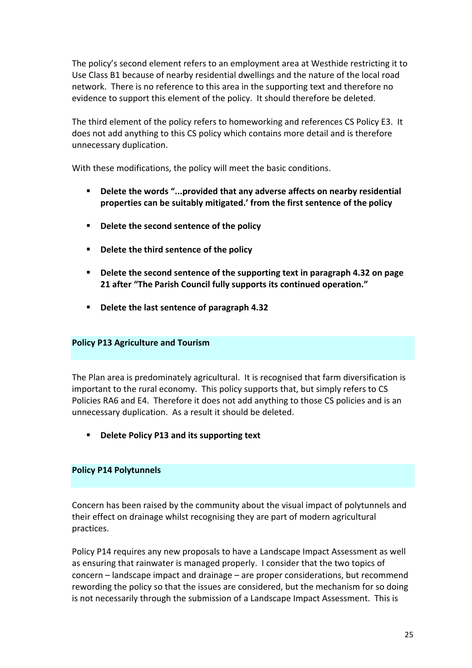The policy's second element refers to an employment area at Westhide restricting it to Use Class B1 because of nearby residential dwellings and the nature of the local road network. There is no reference to this area in the supporting text and therefore no evidence to support this element of the policy. It should therefore be deleted.

The third element of the policy refers to homeworking and references CS Policy E3. It does not add anything to this CS policy which contains more detail and is therefore unnecessary duplication.

With these modifications, the policy will meet the basic conditions.

- **Delete the words "...provided that any adverse affects on nearby residential properties can be suitably mitigated.' from the first sentence of the policy**
- Delete the second sentence of the policy
- Delete the third sentence of the policy
- **Delete the second sentence of the supporting text in paragraph 4.32 on page 21 after "The Parish Council fully supports its continued operation."**
- Delete the last sentence of paragraph 4.32

## **Policy P13 Agriculture and Tourism**

The Plan area is predominately agricultural. It is recognised that farm diversification is important to the rural economy. This policy supports that, but simply refers to CS Policies RA6 and E4. Therefore it does not add anything to those CS policies and is an unnecessary duplication. As a result it should be deleted.

■ Delete Policy P13 and its supporting text

#### **Policy P14 Polytunnels**

Concern has been raised by the community about the visual impact of polytunnels and their effect on drainage whilst recognising they are part of modern agricultural practices.

Policy P14 requires any new proposals to have a Landscape Impact Assessment as well as ensuring that rainwater is managed properly. I consider that the two topics of concern - landscape impact and drainage - are proper considerations, but recommend rewording the policy so that the issues are considered, but the mechanism for so doing is not necessarily through the submission of a Landscape Impact Assessment. This is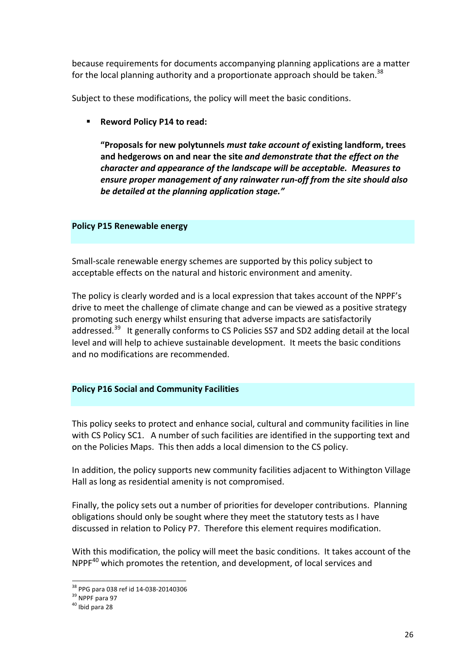because requirements for documents accompanying planning applications are a matter for the local planning authority and a proportionate approach should be taken.<sup>38</sup>

Subject to these modifications, the policy will meet the basic conditions.

 $\blacksquare$  Reword Policy P14 to read:

 **"Proposals for new polytunnels** *must take account of* **existing landform, trees**  **and hedgerows on and near the site** *and demonstrate that the effect on the character and appearance of the landscape will be acceptable. Measures to ensure proper management of any rainwater run-off from the site should also be detailed at the planning application stage."*

#### **Policy P15 Renewable energy**

Small-scale renewable energy schemes are supported by this policy subject to acceptable effects on the natural and historic environment and amenity.

The policy is clearly worded and is a local expression that takes account of the NPPF's drive to meet the challenge of climate change and can be viewed as a positive strategy promoting such energy whilst ensuring that adverse impacts are satisfactorily addressed.<sup>39</sup> It generally conforms to CS Policies SS7 and SD2 adding detail at the local level and will help to achieve sustainable development. It meets the basic conditions and no modifications are recommended.

#### **Policy P16 Social and Community Facilities**

This policy seeks to protect and enhance social, cultural and community facilities in line with CS Policy SC1. A number of such facilities are identified in the supporting text and on the Policies Maps. This then adds a local dimension to the CS policy.

In addition, the policy supports new community facilities adjacent to Withington Village Hall as long as residential amenity is not compromised.

Finally, the policy sets out a number of priorities for developer contributions. Planning obligations should only be sought where they meet the statutory tests as I have discussed in relation to Policy P7. Therefore this element requires modification.

With this modification, the policy will meet the basic conditions. It takes account of the NPPF<sup>40</sup> which promotes the retention, and development, of local services and

 <sup>38</sup> PPG para 038 ref id 14-038-20140306<br><sup>39</sup> NPPF para 97<br><sup>40</sup> Ibid para 28

<sup>&</sup>lt;sup>39</sup> NPPF para 97

 $40$  Ibid para 28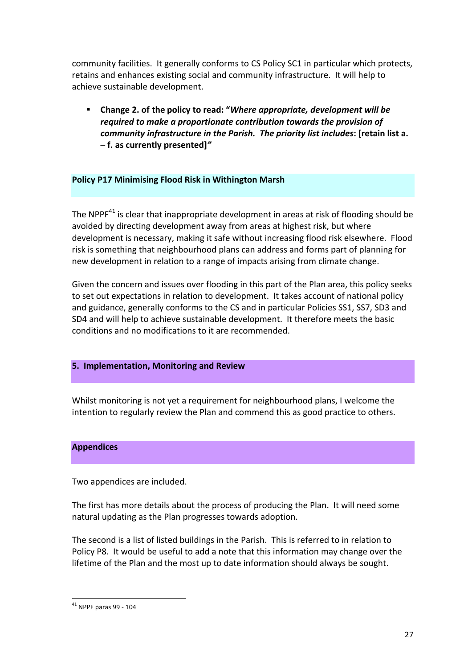community facilities. It generally conforms to CS Policy SC1 in particular which protects, retains and enhances existing social and community infrastructure. It will help to achieve sustainable development.

 *required to make a proportionate contribution towards the provision of community infrastructure in the Parish. The priority list includes***: [retain list a.**  Change 2. of the policy to read: "Where appropriate, development will be **– f. as currently presented]***"*

#### **Policy P17 Minimising Flood Risk in Withington Marsh**

The NPPF<sup>41</sup> is clear that inappropriate development in areas at risk of flooding should be avoided by directing development away from areas at highest risk, but where development is necessary, making it safe without increasing flood risk elsewhere. Flood risk is something that neighbourhood plans can address and forms part of planning for new development in relation to a range of impacts arising from climate change.

Given the concern and issues over flooding in this part of the Plan area, this policy seeks to set out expectations in relation to development. It takes account of national policy and guidance, generally conforms to the CS and in particular Policies SS1, SS7, SD3 and SD4 and will help to achieve sustainable development. It therefore meets the basic conditions and no modifications to it are recommended.

#### **5. Implementation, Monitoring and Review**

Whilst monitoring is not yet a requirement for neighbourhood plans, I welcome the intention to regularly review the Plan and commend this as good practice to others.

#### **Appendices**

 Two appendices are included.

The first has more details about the process of producing the Plan. It will need some natural updating as the Plan progresses towards adoption.

The second is a list of listed buildings in the Parish. This is referred to in relation to Policy P8. It would be useful to add a note that this information may change over the lifetime of the Plan and the most up to date information should always be sought.

  $41$  NPPF paras 99 - 104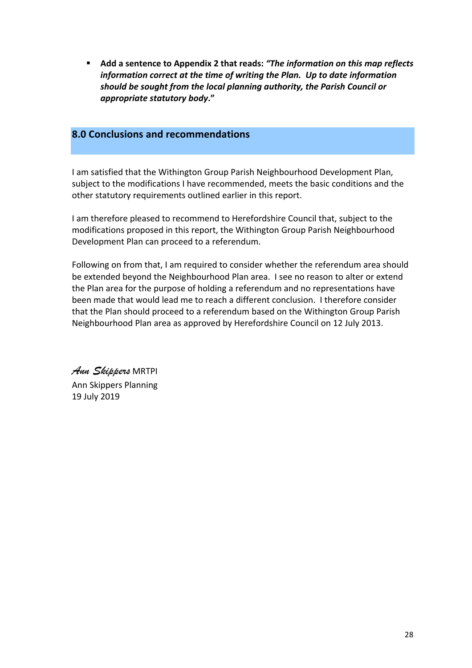**E** Add a sentence to Appendix 2 that reads: "The *information on this map reflects information correct at the time of writing the Plan. Up to date information should be sought from the local planning authority, the Parish Council or appropriate statutory body***."**

## **8.0 Conclusions and recommendations**

I am satisfied that the Withington Group Parish Neighbourhood Development Plan, subject to the modifications I have recommended, meets the basic conditions and the other statutory requirements outlined earlier in this report.

I am therefore pleased to recommend to Herefordshire Council that, subject to the modifications proposed in this report, the Withington Group Parish Neighbourhood Development Plan can proceed to a referendum.

Following on from that, I am required to consider whether the referendum area should be extended beyond the Neighbourhood Plan area. I see no reason to alter or extend the Plan area for the purpose of holding a referendum and no representations have been made that would lead me to reach a different conclusion. I therefore consider that the Plan should proceed to a referendum based on the Withington Group Parish Neighbourhood Plan area as approved by Herefordshire Council on 12 July 2013.

 *Ann Skippers* MRTPI Ann Skippers Planning 19 July 2019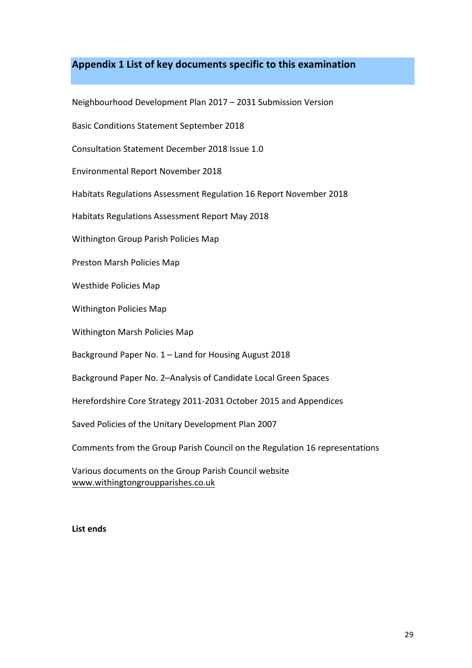## **Appendix 1 List of key documents specific to this examination**

Neighbourhood Development Plan 2017 - 2031 Submission Version

Basic Conditions Statement September 2018

Consultation Statement December 2018 Issue 1.0

 Environmental Report November 2018

Habitats Regulations Assessment Regulation 16 Report November 2018

Habitats Regulations Assessment Report May 2018

 Withington Group Parish Policies Map

 Preston Marsh Policies Map

 Westhide Policies Map

 Withington Policies Map

 Withington Marsh Policies Map

Background Paper No. 1 - Land for Housing August 2018

 Background Paper No. 2–Analysis of Candidate Local Green Spaces

 Herefordshire Core Strategy 2011-2031 October 2015 and Appendices

Saved Policies of the Unitary Development Plan 2007

 Comments from the Group Parish Council on the Regulation 16 representations

 Various documents on the Group Parish Council website www.withingtongroupparishes.co.uk

#### **List ends**